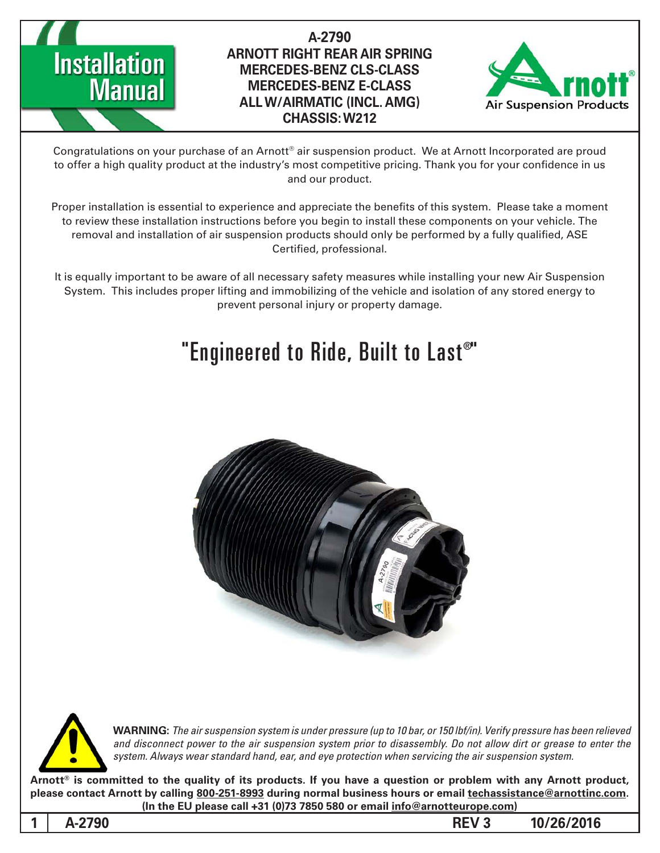

## A-2790 **ARNOTT RIGHT REAR AIR SPRING MERCEDES-BENZ CLS-CLASS MERCEDES-BENZ E-CLASS ALL W/AIRMATIC (INCL. AMG) 212W :CHASSIS**



Congratulations on your purchase of an Arnott® air suspension product. We at Arnott Incorporated are proud to offer a high quality product at the industry's most competitive pricing. Thank you for your confidence in us and our product.

Proper installation is essential to experience and appreciate the benefits of this system. Please take a moment to review these installation instructions before you begin to install these components on your vehicle. The removal and installation of air suspension products should only be performed by a fully qualified, ASE Certified, professional.

It is equally important to be aware of all necessary safety measures while installing your new Air Suspension System. This includes proper lifting and immobilizing of the vehicle and isolation of any stored energy to prevent personal injury or property damage.

# "Engineered to Ride, Built to Last $^\text{\tiny{\textregistered}}$ "





**WARNING:** The air suspension system is under pressure (up to 10 bar, or 150 lbf/in). Verify pressure has been relieved and disconnect power to the air suspension system prior to disassembly. Do not allow dirt or grease to enter the system. Always wear standard hand, ear, and eye protection when servicing the air suspension system.

Arnott® is committed to the quality of its products. If you have a question or problem with any Arnott product, please contact Arnott by calling 800-251-8993 during normal business hours or email techassistance@arnottinc.com. (In the EU please call +31 (0)73 7850 580 or email info@arnotteurope.com)

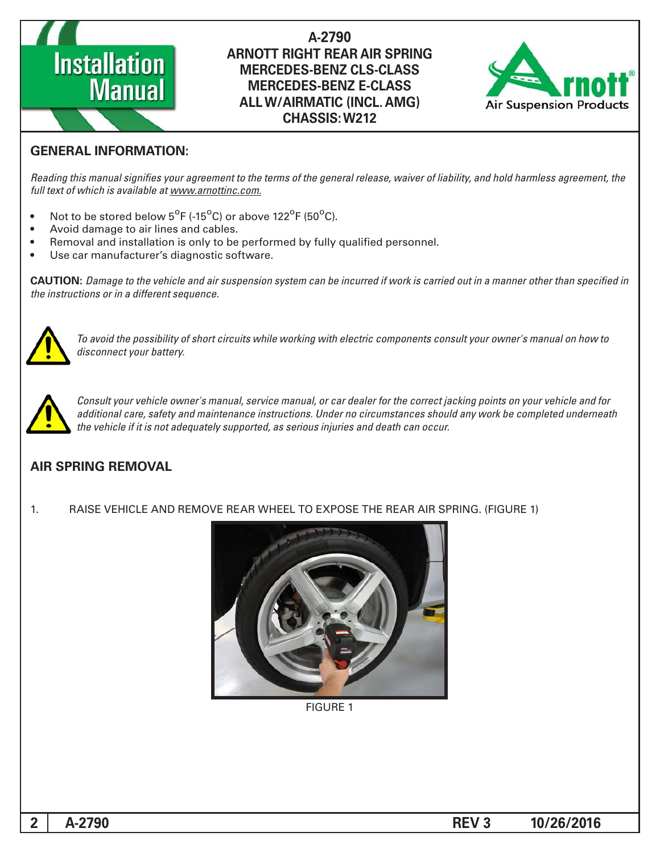

#### A-2790 **ARNOTT RIGHT REAR AIR SPRING MERCEDES-BENZ CLS-CLASS MERCEDES-BENZ E-CLASS ALL W/AIRMATIC (INCL. AMG) 212W :CHASSIS**



#### **GENERAL INFORMATION:**

Reading this manual signifies your agreement to the terms of the general release, waiver of liability, and hold harmless agreement, the full text of which is available at www.arnottinc.com.

- Not to be stored below 5<sup>o</sup>F (-15<sup>o</sup>C) or above 122<sup>o</sup>F (50<sup>o</sup>C).
- Avoid damage to air lines and cables.
- Removal and installation is only to be performed by fully qualified personnel.
- Use car manufacturer's diagnostic software.

 *in specified than other manner a in out carried is work if incurred be can system suspension air and vehicle the to Damage* **:CAUTION** *the instructions or in a different sequence.* 



 *to how on manual s'owner your consult components electric with working while circuits short of possibility the avoid To* disconnect your battery.



*Consult your vehicle owner's manual, service manual, or car dealer for the correct jacking points on your vehicle and for* additional care, safety and maintenance instructions. Under no circumstances should any work be completed underneath the vehicle if it is not adequately supported, as serious injuries and death can occur.

#### **AIR SPRING REMOVAL**

1. RAISE VEHICLE AND REMOVE REAR WHEEL TO EXPOSE THE REAR AIR SPRING. (FIGURE 1)



**FIGURE 1**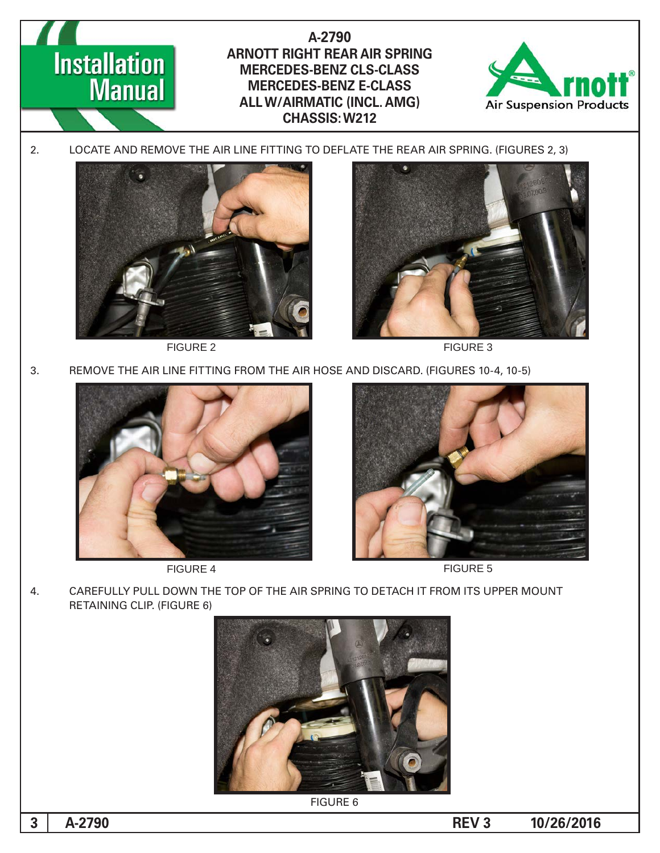



FIGURE 2 FIGURE 3

3. REMOVE THE AIR LINE FITTING FROM THE AIR HOSE AND DISCARD. (FIGURES 10-4, 10-5)



FIGURE 4 FIGURE 5



4. CAREFULLY PULL DOWN THE TOP OF THE AIR SPRING TO DETACH IT FROM ITS UPPER MOUNT RETAINING CLIP. (FIGURE 6)



**FIGURE 6** 

**10/26/2016 REV 3**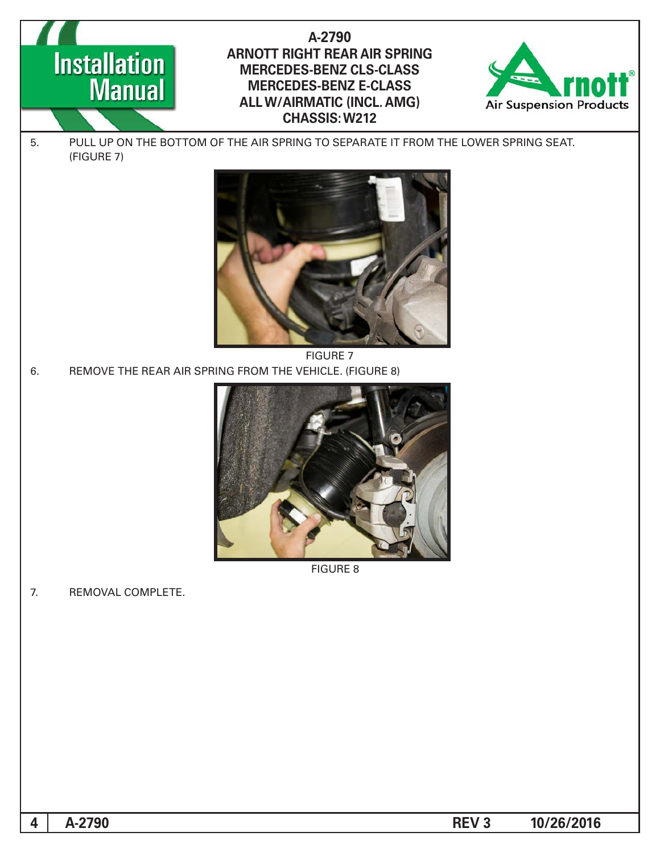